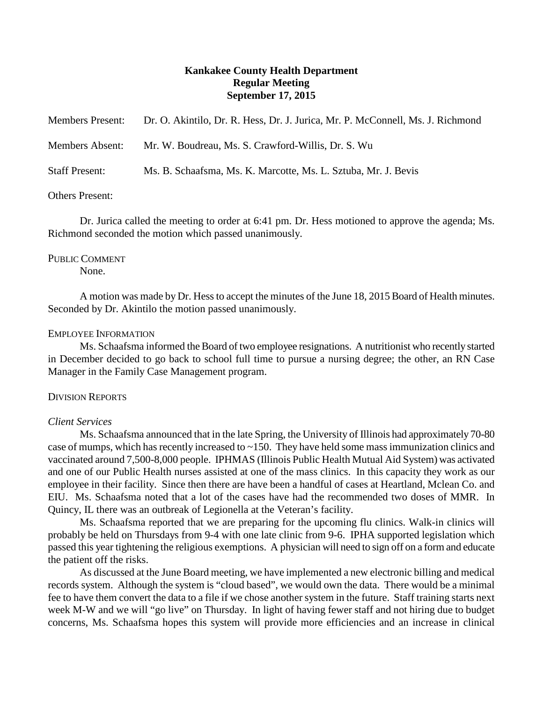# **Kankakee County Health Department Regular Meeting September 17, 2015**

| <b>Members Present:</b> | Dr. O. Akintilo, Dr. R. Hess, Dr. J. Jurica, Mr. P. McConnell, Ms. J. Richmond |
|-------------------------|--------------------------------------------------------------------------------|
| <b>Members Absent:</b>  | Mr. W. Boudreau, Ms. S. Crawford-Willis, Dr. S. Wu                             |
| <b>Staff Present:</b>   | Ms. B. Schaafsma, Ms. K. Marcotte, Ms. L. Sztuba, Mr. J. Bevis                 |
|                         |                                                                                |

### Others Present:

Dr. Jurica called the meeting to order at 6:41 pm. Dr. Hess motioned to approve the agenda; Ms. Richmond seconded the motion which passed unanimously.

# PUBLIC COMMENT

None.

A motion was made by Dr. Hess to accept the minutes of the June 18, 2015 Board of Health minutes. Seconded by Dr. Akintilo the motion passed unanimously.

# EMPLOYEE INFORMATION

Ms. Schaafsma informed the Board of two employee resignations. A nutritionist who recently started in December decided to go back to school full time to pursue a nursing degree; the other, an RN Case Manager in the Family Case Management program.

### DIVISION REPORTS

# *Client Services*

Ms. Schaafsma announced that in the late Spring, the University of Illinois had approximately 70-80 case of mumps, which has recently increased to ~150. They have held some mass immunization clinics and vaccinated around 7,500-8,000 people. IPHMAS (Illinois Public Health Mutual Aid System) was activated and one of our Public Health nurses assisted at one of the mass clinics. In this capacity they work as our employee in their facility. Since then there are have been a handful of cases at Heartland, Mclean Co. and EIU. Ms. Schaafsma noted that a lot of the cases have had the recommended two doses of MMR. In Quincy, IL there was an outbreak of Legionella at the Veteran's facility.

Ms. Schaafsma reported that we are preparing for the upcoming flu clinics. Walk-in clinics will probably be held on Thursdays from 9-4 with one late clinic from 9-6. IPHA supported legislation which passed this year tightening the religious exemptions. A physician will need to sign off on a form and educate the patient off the risks.

As discussed at the June Board meeting, we have implemented a new electronic billing and medical records system. Although the system is "cloud based", we would own the data. There would be a minimal fee to have them convert the data to a file if we chose another system in the future. Staff training starts next week M-W and we will "go live" on Thursday. In light of having fewer staff and not hiring due to budget concerns, Ms. Schaafsma hopes this system will provide more efficiencies and an increase in clinical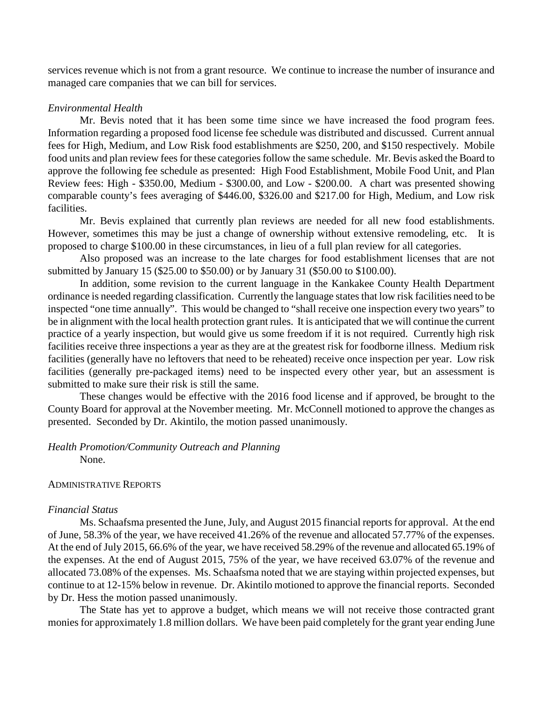services revenue which is not from a grant resource. We continue to increase the number of insurance and managed care companies that we can bill for services.

## *Environmental Health*

Mr. Bevis noted that it has been some time since we have increased the food program fees. Information regarding a proposed food license fee schedule was distributed and discussed. Current annual fees for High, Medium, and Low Risk food establishments are \$250, 200, and \$150 respectively. Mobile food units and plan review fees for these categories follow the same schedule. Mr. Bevis asked the Board to approve the following fee schedule as presented: High Food Establishment, Mobile Food Unit, and Plan Review fees: High - \$350.00, Medium - \$300.00, and Low - \$200.00. A chart was presented showing comparable county's fees averaging of \$446.00, \$326.00 and \$217.00 for High, Medium, and Low risk facilities.

Mr. Bevis explained that currently plan reviews are needed for all new food establishments. However, sometimes this may be just a change of ownership without extensive remodeling, etc. It is proposed to charge \$100.00 in these circumstances, in lieu of a full plan review for all categories.

Also proposed was an increase to the late charges for food establishment licenses that are not submitted by January 15 (\$25.00 to \$50.00) or by January 31 (\$50.00 to \$100.00).

In addition, some revision to the current language in the Kankakee County Health Department ordinance is needed regarding classification. Currently the language states that low risk facilities need to be inspected "one time annually". This would be changed to "shall receive one inspection every two years" to be in alignment with the local health protection grant rules. It is anticipated that we will continue the current practice of a yearly inspection, but would give us some freedom if it is not required. Currently high risk facilities receive three inspections a year as they are at the greatest risk for foodborne illness. Medium risk facilities (generally have no leftovers that need to be reheated) receive once inspection per year. Low risk facilities (generally pre-packaged items) need to be inspected every other year, but an assessment is submitted to make sure their risk is still the same.

These changes would be effective with the 2016 food license and if approved, be brought to the County Board for approval at the November meeting. Mr. McConnell motioned to approve the changes as presented. Seconded by Dr. Akintilo, the motion passed unanimously.

# *Health Promotion/Community Outreach and Planning*

None.

# ADMINISTRATIVE REPORTS

### *Financial Status*

Ms. Schaafsma presented the June, July, and August 2015 financial reports for approval. At the end of June, 58.3% of the year, we have received 41.26% of the revenue and allocated 57.77% of the expenses. At the end of July 2015, 66.6% of the year, we have received 58.29% of the revenue and allocated 65.19% of the expenses. At the end of August 2015, 75% of the year, we have received 63.07% of the revenue and allocated 73.08% of the expenses. Ms. Schaafsma noted that we are staying within projected expenses, but continue to at 12-15% below in revenue. Dr. Akintilo motioned to approve the financial reports. Seconded by Dr. Hess the motion passed unanimously.

The State has yet to approve a budget, which means we will not receive those contracted grant monies for approximately 1.8 million dollars. We have been paid completely for the grant year ending June